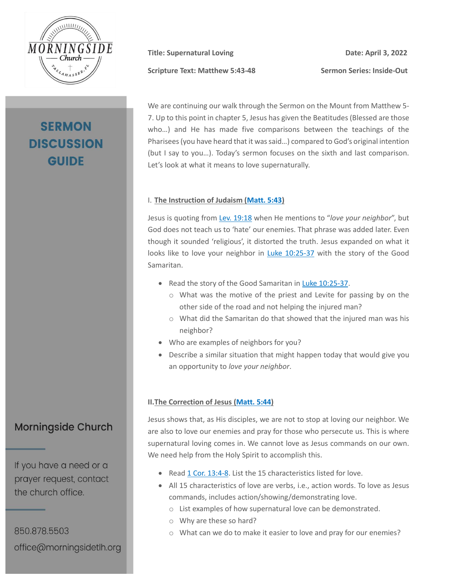

# **SERMON DISCUSSION GUIDE**

Scripture Text: Matthew 5:43-48 Sermon Series: Inside-Out

**Title:** Supernatural Loving **Date: Date:** April 3, 2022

We are continuing our walk through the Sermon on the Mount from Matthew 5- 7. Up to this point in chapter 5, Jesus has given the Beatitudes (Blessed are those who…) and He has made five comparisons between the teachings of the Pharisees (you have heard that it was said…) compared to God's original intention (but I say to you…). Today's sermon focuses on the sixth and last comparison. Let's look at what it means to love supernaturally.

#### I. **The Instruction of Judaism [\(Matt. 5:43\)](https://my.bible.com/bible/100/MAT.5.43.nasb95)**

Jesus is quoting from Lev. [19:18](https://my.bible.com/bible/100/LEV.19.18.nasb95) when He mentions to "*love your neighbor*", but God does not teach us to 'hate' our enemies. That phrase was added later. Even though it sounded 'religious', it distorted the truth. Jesus expanded on what it looks like to love your neighbor in [Luke 10:25-37](https://my.bible.com/bible/100/LUK.10.25-37.nasb95) with the story of the Good Samaritan.

- Read the story of the Good Samaritan in [Luke 10:25-37.](https://my.bible.com/bible/100/LUK.10.25-37.nasb95)
	- o What was the motive of the priest and Levite for passing by on the other side of the road and not helping the injured man?
	- o What did the Samaritan do that showed that the injured man was his neighbor?
- Who are examples of neighbors for you?
- Describe a similar situation that might happen today that would give you an opportunity to *love your neighbor*.

### **II.The Correction of Jesus [\(Matt. 5:44\)](https://my.bible.com/bible/100/MAT.5.44.nasb95)**

Jesus shows that, as His disciples, we are not to stop at loving our neighbor. We are also to love our enemies and pray for those who persecute us. This is where supernatural loving comes in. We cannot love as Jesus commands on our own. We need help from the Holy Spirit to accomplish this.

- Read [1 Cor. 13:4-8.](https://my.bible.com/bible/100/1CO.13.4-8.nasb95) List the 15 characteristics listed for love.
- All 15 characteristics of love are verbs, i.e., action words. To love as Jesus commands, includes action/showing/demonstrating love.
	- o List examples of how supernatural love can be demonstrated.
	- o Why are these so hard?
	- o What can we do to make it easier to love and pray for our enemies?

## **Morningside Church**

If you have a need or a prayer request, contact the church office.

850.878.5503 office@morningsidetlh.org